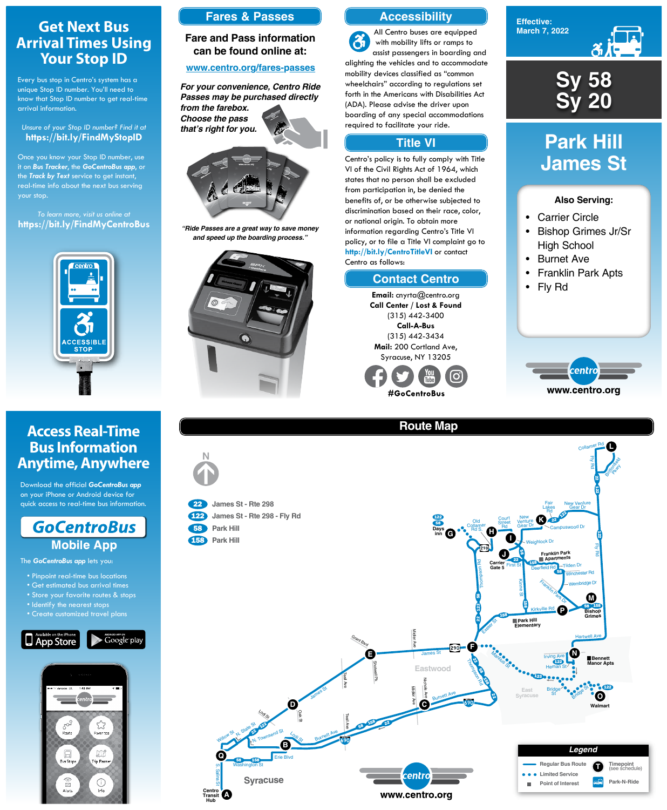**Effective: March 7, 2022**



#### **Also Serving:**

- Carrier Circle
- Bishop Grimes Jr/Sr High School
- Burnet Ave
- Franklin Park Apts
- Fly Rd



# **Park Hill James St**



## **Route Map**





## **Get Next Bus Arrival Times Using Your Stop ID**

Every bus stop in Centro's system has a unique Stop ID number. You'll need to know that Stop ID number to get real-time arrival information.

#### *Unsure of your Stop ID number? Find it at* **https://bit.ly/FindMyStopID**

Once you know your Stop ID number, use it on *Bus Tracker*, the *GoCentroBus app*, or the *Track by Text* service to get instant, real-time info about the next bus serving your stop.

*To learn more, visit us online at* **https://bit.ly/FindMyCentroBus**



## **Access Real-Time Bus Information Anytime, Anywhere**

Download the official *GoCentroBus app* on your iPhone or Android device for quick access to real-time bus information.



The *GoCentroBus app* lets you:

• Pinpoint real-time bus locations

• Get estimated bus arrival times



- Store your favorite routes & stops
- Identify the nearest stops
- Create customized travel plans





### **Accessibility**

### **Contact Centro**

#### **Title VI**

All Centro buses are equipped  $\mathbf{a}$ with mobility lifts or ramps to assist passengers in boarding and alighting the vehicles and to accommodate mobility devices classified as "common wheelchairs" according to regulations set forth in the Americans with Disabilities Act (ADA). Please advise the driver upon boarding of any special accommodations required to facilitate your ride.

Centro's policy is to fully comply with Title VI of the Civil Rights Act of 1964, which states that no person shall be excluded from participation in, be denied the benefits of, or be otherwise subjected to discrimination based on their race, color, or national origin. To obtain more information regarding Centro's Title VI policy, or to file a Title VI complaint go to **http://bit.ly/CentroTitleVI** or contact Centro as follows:

> **Email:** cnyrta@centro.org **Call Center / Lost & Found** (315) 442-3400 **Call-A-Bus** (315) 442-3434 **Mail:** 200 Cortland Ave, Syracuse, NY 13205



### **Fares & Passes**

#### **Fare and Pass information can be found online at:**

#### **www.centro.org/fares-passes**



*"Ride Passes are a great way to save money and speed up the boarding process."*



*For your convenience, Centro Ride Passes may be purchased directly from the farebox. Choose the pass that's right for you.*